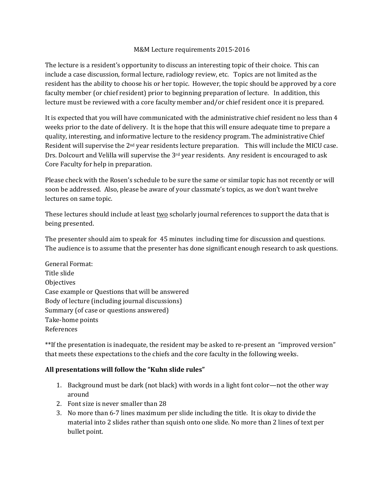## M&M Lecture requirements 2015-2016

The lecture is a resident's opportunity to discuss an interesting topic of their choice. This can include a case discussion, formal lecture, radiology review, etc. Topics are not limited as the resident has the ability to choose his or her topic. However, the topic should be approved by a core faculty member (or chief resident) prior to beginning preparation of lecture. In addition, this lecture must be reviewed with a core faculty member and/or chief resident once it is prepared.

It is expected that you will have communicated with the administrative chief resident no less than 4 weeks prior to the date of delivery. It is the hope that this will ensure adequate time to prepare a quality, interesting, and informative lecture to the residency program. The administrative Chief Resident will supervise the 2nd year residents lecture preparation. This will include the MICU case. Drs. Dolcourt and Velilla will supervise the 3<sup>rd</sup> year residents. Any resident is encouraged to ask Core Faculty for help in preparation.

Please check with the Rosen's schedule to be sure the same or similar topic has not recently or will soon be addressed. Also, please be aware of your classmate's topics, as we don't want twelve lectures on same topic.

These lectures should include at least two scholarly journal references to support the data that is being presented.

The presenter should aim to speak for 45 minutes including time for discussion and questions. The audience is to assume that the presenter has done significant enough research to ask questions.

General Format: Title slide **Objectives** Case example or Questions that will be answered Body of lecture (including journal discussions) Summary (of case or questions answered) Take-home points References

\*\*If the presentation is inadequate, the resident may be asked to re-present an "improved version" that meets these expectations to the chiefs and the core faculty in the following weeks.

## All presentations will follow the "Kuhn slide rules"

- 1. Background must be dark (not black) with words in a light font color—not the other way around
- 2. Font size is never smaller than 28
- 3. No more than 6-7 lines maximum per slide including the title. It is okay to divide the material into 2 slides rather than squish onto one slide. No more than 2 lines of text per bullet point.